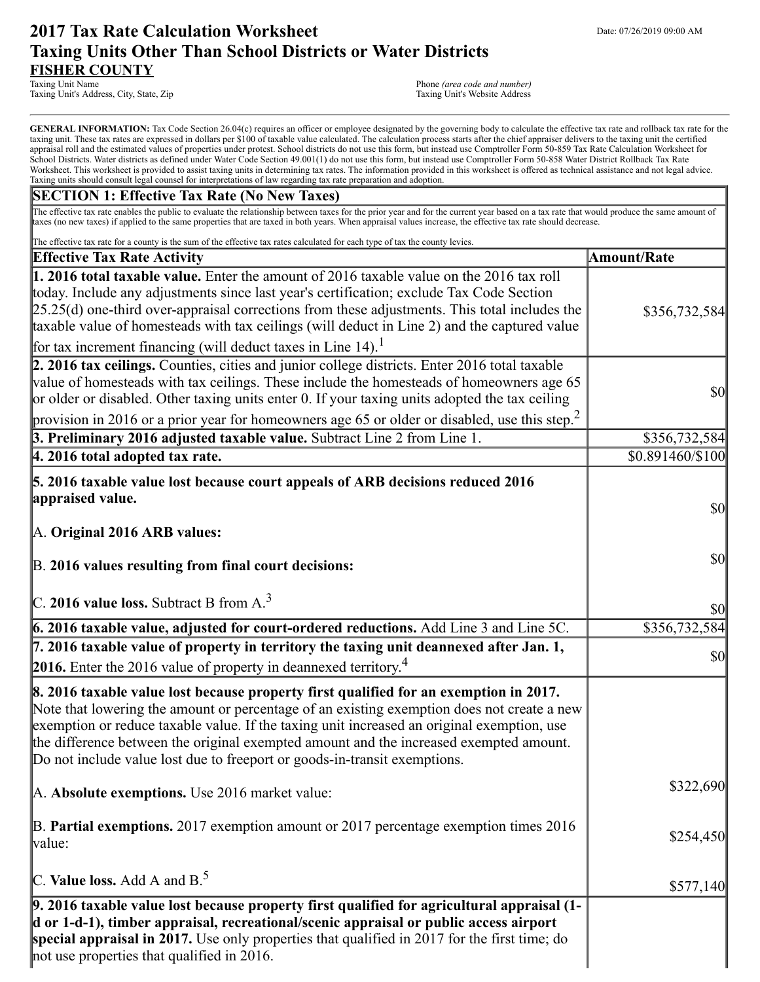# **2017 Tax Rate Calculation Worksheet** Department Date: 07/26/2019 09:00 AM **Taxing Units Other Than School Districts or Water Districts FISHER COUNTY**

Taxing Unit's Address, City, State, Zip

Phone (area code and number)<br>Taxing Unit's Website Address

GENERAL INFORMATION: Tax Code Section 26.04(c) requires an officer or employee designated by the governing body to calculate the effective tax rate and rollback tax rate for the taxing unit. These tax rates are expressed in dollars per \$100 of taxable value calculated. The calculation process starts after the chief appraiser delivers to the taxing unit the certified appraisal roll and the estimated values of properties under protest. School districts do not use this form, but instead use Comptroller Form 50-859 Tax Rate Calculation Worksheet for School Districts. Water districts as defined under Water Code Section 49.001(1) do not use this form, but instead use Comptroller Form 50-858 Water District Rollback Tax Rate Worksheet. This worksheet is provided to assist taxing units in determining tax rates. The information provided in this worksheet is offered as technical assistance and not legal advice. Taxing units should consult legal counsel for interpretations of law regarding tax rate preparation and adoption.

### **SECTION 1: Effective Tax Rate (No New Taxes)**

The effective tax rate enables the public to evaluate the relationship between taxes for the prior year and for the current year based on a tax rate that would produce the same amount of taxes (no new taxes) if applied to the same properties that are taxed in both years. When appraisal values increase, the effective tax rate should decrease.

| The effective tax rate for a county is the sum of the effective tax rates calculated for each type of tax the county levies.                                                                                                                                                                                                                                                                                                                                                |                         |
|-----------------------------------------------------------------------------------------------------------------------------------------------------------------------------------------------------------------------------------------------------------------------------------------------------------------------------------------------------------------------------------------------------------------------------------------------------------------------------|-------------------------|
| <b>Effective Tax Rate Activity</b>                                                                                                                                                                                                                                                                                                                                                                                                                                          | <b>Amount/Rate</b>      |
| <b>1. 2016 total taxable value.</b> Enter the amount of 2016 taxable value on the 2016 tax roll<br>today. Include any adjustments since last year's certification; exclude Tax Code Section<br>$[25.25(d)$ one-third over-appraisal corrections from these adjustments. This total includes the<br>taxable value of homesteads with tax ceilings (will deduct in Line 2) and the captured value<br>for tax increment financing (will deduct taxes in Line 14). <sup>1</sup> | \$356,732,584           |
| 2. 2016 tax ceilings. Counties, cities and junior college districts. Enter 2016 total taxable<br>value of homesteads with tax ceilings. These include the homesteads of homeowners age 65<br>or older or disabled. Other taxing units enter 0. If your taxing units adopted the tax ceiling<br>provision in 2016 or a prior year for homeowners age 65 or older or disabled, use this step. <sup>2</sup>                                                                    | $\sqrt{50}$             |
| 3. Preliminary 2016 adjusted taxable value. Subtract Line 2 from Line 1.                                                                                                                                                                                                                                                                                                                                                                                                    | \$356,732,584           |
| $ 4.2016$ total adopted tax rate.                                                                                                                                                                                                                                                                                                                                                                                                                                           | \$0.891460/\$100        |
| 5. 2016 taxable value lost because court appeals of ARB decisions reduced 2016<br>appraised value.<br>A. Original 2016 ARB values:                                                                                                                                                                                                                                                                                                                                          | $\vert \$\text{O}\vert$ |
| B. 2016 values resulting from final court decisions:                                                                                                                                                                                                                                                                                                                                                                                                                        | \$0                     |
| $\vert$ C. 2016 value loss. Subtract B from A. <sup>3</sup>                                                                                                                                                                                                                                                                                                                                                                                                                 | \$0                     |
| 6. 2016 taxable value, adjusted for court-ordered reductions. Add Line 3 and Line 5C.                                                                                                                                                                                                                                                                                                                                                                                       | \$356,732,584           |
| 7. 2016 taxable value of property in territory the taxing unit deannexed after Jan. 1,<br>2016. Enter the 2016 value of property in deannexed territory. <sup>4</sup>                                                                                                                                                                                                                                                                                                       | \$0                     |
| 8. 2016 taxable value lost because property first qualified for an exemption in 2017.<br>Note that lowering the amount or percentage of an existing exemption does not create a new<br>exemption or reduce taxable value. If the taxing unit increased an original exemption, use<br>the difference between the original exempted amount and the increased exempted amount.<br>Do not include value lost due to freeport or goods-in-transit exemptions.                    |                         |
| A. Absolute exemptions. Use 2016 market value:                                                                                                                                                                                                                                                                                                                                                                                                                              | \$322,690               |
| B. Partial exemptions. 2017 exemption amount or 2017 percentage exemption times 2016<br> value:                                                                                                                                                                                                                                                                                                                                                                             | \$254,450               |
| C. Value loss. Add A and $B^5$ .                                                                                                                                                                                                                                                                                                                                                                                                                                            | \$577,140               |
| 9. 2016 taxable value lost because property first qualified for agricultural appraisal (1-<br>d or 1-d-1), timber appraisal, recreational/scenic appraisal or public access airport<br>special appraisal in 2017. Use only properties that qualified in 2017 for the first time; do<br>not use properties that qualified in 2016.                                                                                                                                           |                         |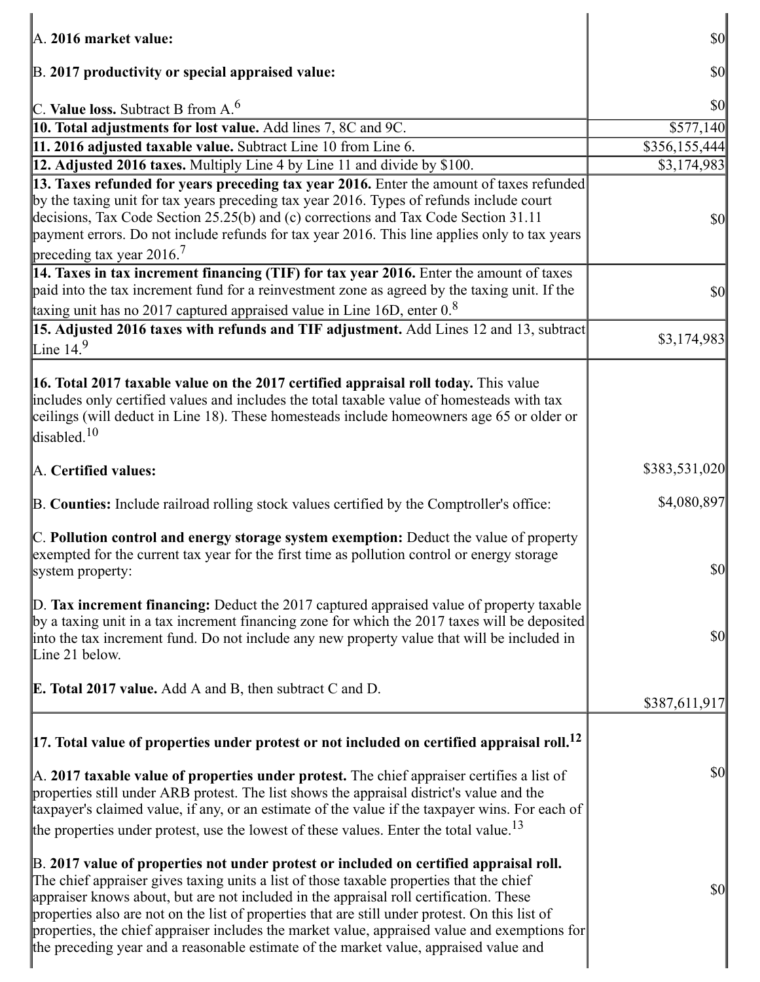| $\mathbb{A}$ . 2016 market value:                                                                                                                                                                                                                                                                                                                                                                                                                                                                                                                                         | $\vert \mathbf{S} \mathbf{0} \vert$ |
|---------------------------------------------------------------------------------------------------------------------------------------------------------------------------------------------------------------------------------------------------------------------------------------------------------------------------------------------------------------------------------------------------------------------------------------------------------------------------------------------------------------------------------------------------------------------------|-------------------------------------|
|                                                                                                                                                                                                                                                                                                                                                                                                                                                                                                                                                                           |                                     |
| B. 2017 productivity or special appraised value:                                                                                                                                                                                                                                                                                                                                                                                                                                                                                                                          | \$0                                 |
| C. Value loss. Subtract B from $A6$                                                                                                                                                                                                                                                                                                                                                                                                                                                                                                                                       | $\vert \mathbf{S} \mathbf{0} \vert$ |
| 10. Total adjustments for lost value. Add lines 7, 8C and 9C.                                                                                                                                                                                                                                                                                                                                                                                                                                                                                                             | \$577,140                           |
| 11. 2016 adjusted taxable value. Subtract Line 10 from Line 6.                                                                                                                                                                                                                                                                                                                                                                                                                                                                                                            | \$356,155,444                       |
| 12. Adjusted 2016 taxes. Multiply Line 4 by Line 11 and divide by \$100.                                                                                                                                                                                                                                                                                                                                                                                                                                                                                                  | \$3,174,983                         |
| 13. Taxes refunded for years preceding tax year 2016. Enter the amount of taxes refunded                                                                                                                                                                                                                                                                                                                                                                                                                                                                                  |                                     |
| by the taxing unit for tax years preceding tax year 2016. Types of refunds include court<br>decisions, Tax Code Section 25.25(b) and (c) corrections and Tax Code Section 31.11<br>payment errors. Do not include refunds for tax year 2016. This line applies only to tax years                                                                                                                                                                                                                                                                                          | $\sqrt{50}$                         |
| preceding tax year 2016. <sup>7</sup>                                                                                                                                                                                                                                                                                                                                                                                                                                                                                                                                     |                                     |
| 14. Taxes in tax increment financing (TIF) for tax year 2016. Enter the amount of taxes<br>paid into the tax increment fund for a reinvestment zone as agreed by the taxing unit. If the                                                                                                                                                                                                                                                                                                                                                                                  | $\vert \mathbf{S} \mathbf{0} \vert$ |
| taxing unit has no 2017 captured appraised value in Line 16D, enter 0.8                                                                                                                                                                                                                                                                                                                                                                                                                                                                                                   |                                     |
| 15. Adjusted 2016 taxes with refunds and TIF adjustment. Add Lines 12 and 13, subtract<br>Line $149$                                                                                                                                                                                                                                                                                                                                                                                                                                                                      | \$3,174,983                         |
|                                                                                                                                                                                                                                                                                                                                                                                                                                                                                                                                                                           |                                     |
| 16. Total 2017 taxable value on the 2017 certified appraisal roll today. This value<br>includes only certified values and includes the total taxable value of homesteads with tax<br>ceilings (will deduct in Line 18). These homesteads include homeowners age 65 or older or<br>disabled. <sup>10</sup>                                                                                                                                                                                                                                                                 |                                     |
| A. Certified values:                                                                                                                                                                                                                                                                                                                                                                                                                                                                                                                                                      | \$383,531,020                       |
| B. Counties: Include railroad rolling stock values certified by the Comptroller's office:                                                                                                                                                                                                                                                                                                                                                                                                                                                                                 | \$4,080,897                         |
| C. Pollution control and energy storage system exemption: Deduct the value of property<br>exempted for the current tax year for the first time as pollution control or energy storage<br>system property:                                                                                                                                                                                                                                                                                                                                                                 | $ 10\rangle$                        |
| $\vert$ D. Tax increment financing: Deduct the 2017 captured appraised value of property taxable<br>by a taxing unit in a tax increment financing zone for which the 2017 taxes will be deposited<br>into the tax increment fund. Do not include any new property value that will be included in<br>Line 21 below.                                                                                                                                                                                                                                                        | $\vert \$\text{O}\vert$             |
| <b>E. Total 2017 value.</b> Add A and B, then subtract C and D.                                                                                                                                                                                                                                                                                                                                                                                                                                                                                                           | \$387,611,917                       |
| $\vert$ 17. Total value of properties under protest or not included on certified appraisal roll. <sup>12</sup>                                                                                                                                                                                                                                                                                                                                                                                                                                                            |                                     |
| $\mathbb A$ . 2017 taxable value of properties under protest. The chief appraiser certifies a list of<br>properties still under ARB protest. The list shows the appraisal district's value and the<br>taxpayer's claimed value, if any, or an estimate of the value if the taxpayer wins. For each of<br>the properties under protest, use the lowest of these values. Enter the total value. <sup>13</sup>                                                                                                                                                               | $\vert \$\text{O}\vert$             |
| B. 2017 value of properties not under protest or included on certified appraisal roll.<br>The chief appraiser gives taxing units a list of those taxable properties that the chief<br>appraiser knows about, but are not included in the appraisal roll certification. These<br>properties also are not on the list of properties that are still under protest. On this list of<br>properties, the chief appraiser includes the market value, appraised value and exemptions for<br>the preceding year and a reasonable estimate of the market value, appraised value and | \$0                                 |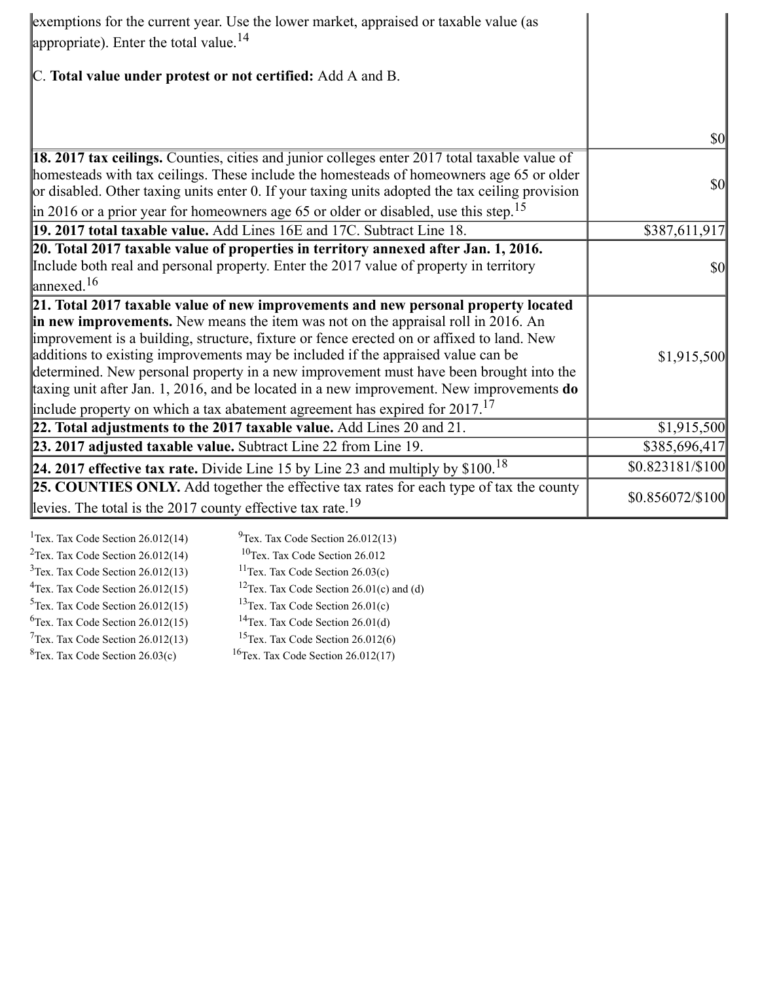| exemptions for the current year. Use the lower market, appraised or taxable value (as<br>appropriate). Enter the total value. $^{14}$                                                                                                                                                                                                                                                                                                                                                                                                                                                                                                        |                                     |
|----------------------------------------------------------------------------------------------------------------------------------------------------------------------------------------------------------------------------------------------------------------------------------------------------------------------------------------------------------------------------------------------------------------------------------------------------------------------------------------------------------------------------------------------------------------------------------------------------------------------------------------------|-------------------------------------|
| C. Total value under protest or not certified: Add A and B.                                                                                                                                                                                                                                                                                                                                                                                                                                                                                                                                                                                  |                                     |
|                                                                                                                                                                                                                                                                                                                                                                                                                                                                                                                                                                                                                                              | $\vert \mathbf{S} \mathbf{0} \vert$ |
| <b>18. 2017 tax ceilings.</b> Counties, cities and junior colleges enter 2017 total taxable value of<br>homesteads with tax ceilings. These include the homesteads of homeowners age 65 or older<br>or disabled. Other taxing units enter 0. If your taxing units adopted the tax ceiling provision                                                                                                                                                                                                                                                                                                                                          | $\frac{1}{2}$                       |
| $\parallel$ in 2016 or a prior year for homeowners age 65 or older or disabled, use this step. <sup>15</sup><br>19. 2017 total taxable value. Add Lines 16E and 17C. Subtract Line 18.                                                                                                                                                                                                                                                                                                                                                                                                                                                       | \$387,611,917                       |
| 20. Total 2017 taxable value of properties in territory annexed after Jan. 1, 2016.<br>Include both real and personal property. Enter the 2017 value of property in territory<br>$\ln$ nnexed. <sup>16</sup>                                                                                                                                                                                                                                                                                                                                                                                                                                 | \$0                                 |
| 21. Total 2017 taxable value of new improvements and new personal property located<br>in new improvements. New means the item was not on the appraisal roll in 2016. An<br>improvement is a building, structure, fixture or fence erected on or affixed to land. New<br>additions to existing improvements may be included if the appraised value can be<br>determined. New personal property in a new improvement must have been brought into the<br>taxing unit after Jan. 1, 2016, and be located in a new improvement. New improvements do<br>include property on which a tax abatement agreement has expired for $2017$ . <sup>17</sup> | \$1,915,500                         |
| 22. Total adjustments to the 2017 taxable value. Add Lines 20 and 21.                                                                                                                                                                                                                                                                                                                                                                                                                                                                                                                                                                        | \$1,915,500                         |
| 23. 2017 adjusted taxable value. Subtract Line 22 from Line 19.                                                                                                                                                                                                                                                                                                                                                                                                                                                                                                                                                                              | \$385,696,417                       |
| 24. 2017 effective tax rate. Divide Line 15 by Line 23 and multiply by $$100.18$                                                                                                                                                                                                                                                                                                                                                                                                                                                                                                                                                             | \$0.823181/\$100                    |
| 25. COUNTIES ONLY. Add together the effective tax rates for each type of tax the county<br>levies. The total is the 2017 county effective tax rate. <sup>19</sup>                                                                                                                                                                                                                                                                                                                                                                                                                                                                            | \$0.856072/\$100                    |

<sup>1</sup>Tex. Tax Code Section  $26.012(14)$  $9$ Tex. Tax Code Section 26.012(13) <sup>2</sup>Tex. Tax Code Section  $26.012(14)$ <sup>10</sup>Tex. Tax Code Section 26.012  $3$ Tex. Tax Code Section 26.012(13) <sup>11</sup>Tex. Tax Code Section  $26.03(c)$ <sup>4</sup>Tex. Tax Code Section 26.012(15) <sup>12</sup>Tex. Tax Code Section 26.01(c) and (d)  $5$ Tex. Tax Code Section 26.012(15) <sup>13</sup>Tex. Tax Code Section  $26.01(c)$  $6$ Tex. Tax Code Section 26.012(15) <sup>14</sup>Tex. Tax Code Section  $26.01(d)$  $7$ Tex. Tax Code Section 26.012(13) <sup>15</sup>Tex. Tax Code Section  $26.012(6)$  ${}^{8}$ Tex. Tax Code Section 26.03(c) <sup>16</sup>Tex. Tax Code Section  $26.012(17)$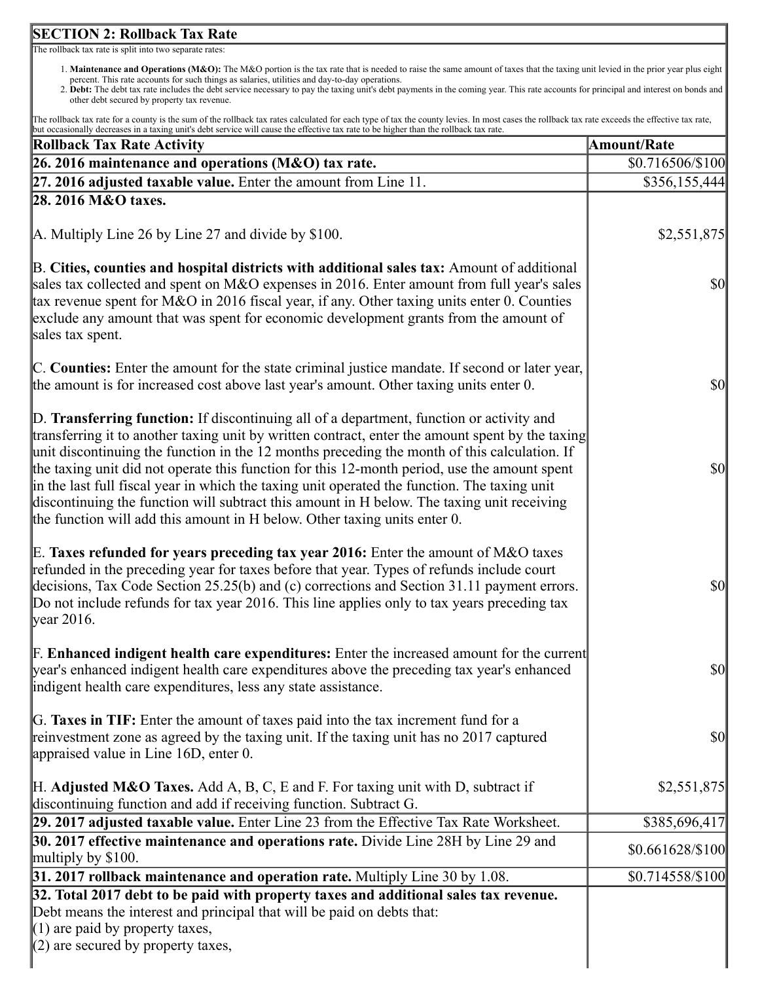## **SECTION 2: Rollback Tax Rate**

The rollback tax rate is split into two separate rates:

- 1. **Maintenance and Operations (M&O):** The M&O portion is the tax rate that is needed to raise the same amount of taxes that the taxing unit levied in the prior year plus eight percent. This rate accounts for such things as salaries, utilities and day-to-day operations.
- 2. **Debt:** The debt tax rate includes the debt service necessary to pay the taxing unit's debt payments in the coming year. This rate accounts for principal and interest on bonds and other debt secured by property tax revenue.

The rollback tax rate for a county is the sum of the rollback tax rates calculated for each type of tax the county levies. In most cases the rollback tax rate exceeds the effective tax rate, but occasionally decreases in a taxing unit's debt service will cause the effective tax rate to be higher than the rollback tax rate.

| a cocasionary decreases in a taxing anno decretor vin eause are cricerive tax rate to be ingiler and no ronouen tax rate<br><b>Rollback Tax Rate Activity</b>                                                                                                                                                                                                                                                                                                                                                                                                                                                                                                           | <b>Amount/Rate</b>                  |
|-------------------------------------------------------------------------------------------------------------------------------------------------------------------------------------------------------------------------------------------------------------------------------------------------------------------------------------------------------------------------------------------------------------------------------------------------------------------------------------------------------------------------------------------------------------------------------------------------------------------------------------------------------------------------|-------------------------------------|
| 26. 2016 maintenance and operations (M&O) tax rate.                                                                                                                                                                                                                                                                                                                                                                                                                                                                                                                                                                                                                     | \$0.716506/\$100                    |
| $27.2016$ adjusted taxable value. Enter the amount from Line 11.                                                                                                                                                                                                                                                                                                                                                                                                                                                                                                                                                                                                        | \$356,155,444                       |
| 28. 2016 M&O taxes.                                                                                                                                                                                                                                                                                                                                                                                                                                                                                                                                                                                                                                                     |                                     |
| $\vert$ A. Multiply Line 26 by Line 27 and divide by \$100.                                                                                                                                                                                                                                                                                                                                                                                                                                                                                                                                                                                                             | \$2,551,875                         |
| B. Cities, counties and hospital districts with additional sales tax: Amount of additional<br>sales tax collected and spent on M&O expenses in 2016. Enter amount from full year's sales<br>tax revenue spent for M&O in 2016 fiscal year, if any. Other taxing units enter 0. Counties<br>exclude any amount that was spent for economic development grants from the amount of<br>sales tax spent.                                                                                                                                                                                                                                                                     | $\vert \mathcal{S}0 \vert$          |
| C. Counties: Enter the amount for the state criminal justice mandate. If second or later year,<br>the amount is for increased cost above last year's amount. Other taxing units enter 0.                                                                                                                                                                                                                                                                                                                                                                                                                                                                                | $\vert \$\text{0}\vert$             |
| D. Transferring function: If discontinuing all of a department, function or activity and<br>transferring it to another taxing unit by written contract, enter the amount spent by the taxing<br>unit discontinuing the function in the 12 months preceding the month of this calculation. If<br>the taxing unit did not operate this function for this 12-month period, use the amount spent<br>in the last full fiscal year in which the taxing unit operated the function. The taxing unit<br>discontinuing the function will subtract this amount in H below. The taxing unit receiving<br>the function will add this amount in H below. Other taxing units enter 0. | $\vert \mathbf{S} \mathbf{0} \vert$ |
| E. Taxes refunded for years preceding tax year 2016: Enter the amount of M&O taxes<br>refunded in the preceding year for taxes before that year. Types of refunds include court<br>decisions, Tax Code Section 25.25(b) and (c) corrections and Section 31.11 payment errors.<br>Do not include refunds for tax year 2016. This line applies only to tax years preceding tax<br>$\gamma$ year 2016.                                                                                                                                                                                                                                                                     | $\vert \mathbf{S} \mathbf{0} \vert$ |
| F. Enhanced indigent health care expenditures: Enter the increased amount for the current<br>year's enhanced indigent health care expenditures above the preceding tax year's enhanced<br>indigent health care expenditures, less any state assistance.                                                                                                                                                                                                                                                                                                                                                                                                                 | $\vert \mathbf{S} \mathbf{0} \vert$ |
| G. Taxes in TIF: Enter the amount of taxes paid into the tax increment fund for a<br>reinvestment zone as agreed by the taxing unit. If the taxing unit has no 2017 captured<br>appraised value in Line 16D, enter 0.                                                                                                                                                                                                                                                                                                                                                                                                                                                   | <b>\$0</b>                          |
| $H.$ Adjusted M&O Taxes. Add A, B, C, E and F. For taxing unit with D, subtract if<br>discontinuing function and add if receiving function. Subtract G.                                                                                                                                                                                                                                                                                                                                                                                                                                                                                                                 | \$2,551,875                         |
| 29. 2017 adjusted taxable value. Enter Line 23 from the Effective Tax Rate Worksheet.                                                                                                                                                                                                                                                                                                                                                                                                                                                                                                                                                                                   | \$385,696,417                       |
| 30. 2017 effective maintenance and operations rate. Divide Line 28H by Line 29 and<br>multiply by \$100.                                                                                                                                                                                                                                                                                                                                                                                                                                                                                                                                                                | \$0.661628/\$100                    |
| 31. 2017 rollback maintenance and operation rate. Multiply Line 30 by 1.08.                                                                                                                                                                                                                                                                                                                                                                                                                                                                                                                                                                                             | \$0.714558/\$100                    |
| 32. Total 2017 debt to be paid with property taxes and additional sales tax revenue.<br>Debt means the interest and principal that will be paid on debts that:<br>$(1)$ are paid by property taxes,<br>$(2)$ are secured by property taxes,                                                                                                                                                                                                                                                                                                                                                                                                                             |                                     |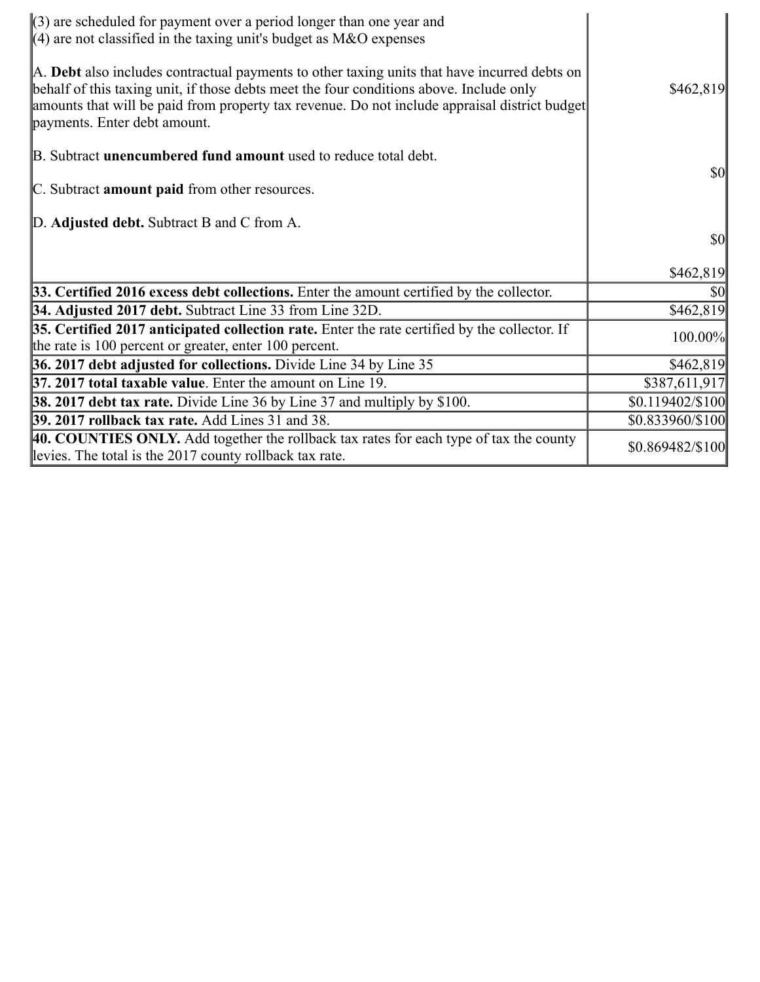| $(3)$ are scheduled for payment over a period longer than one year and<br>$\parallel$ (4) are not classified in the taxing unit's budget as M&O expenses                                                                                                                                                                 |                  |
|--------------------------------------------------------------------------------------------------------------------------------------------------------------------------------------------------------------------------------------------------------------------------------------------------------------------------|------------------|
| A. Debt also includes contractual payments to other taxing units that have incurred debts on<br>behalf of this taxing unit, if those debts meet the four conditions above. Include only<br>amounts that will be paid from property tax revenue. Do not include appraisal district budget<br>payments. Enter debt amount. | \$462,819        |
| B. Subtract <b>unencumbered fund amount</b> used to reduce total debt.                                                                                                                                                                                                                                                   |                  |
| C. Subtract amount paid from other resources.                                                                                                                                                                                                                                                                            | <b>\$0</b>       |
| D. Adjusted debt. Subtract B and C from A.                                                                                                                                                                                                                                                                               |                  |
|                                                                                                                                                                                                                                                                                                                          | $\frac{1}{2}$    |
|                                                                                                                                                                                                                                                                                                                          | \$462,819        |
| 33. Certified 2016 excess debt collections. Enter the amount certified by the collector.                                                                                                                                                                                                                                 | <b>\$0</b>       |
| 34. Adjusted 2017 debt. Subtract Line 33 from Line 32D.                                                                                                                                                                                                                                                                  | \$462,819        |
| 35. Certified 2017 anticipated collection rate. Enter the rate certified by the collector. If<br>the rate is 100 percent or greater, enter 100 percent.                                                                                                                                                                  | 100.00%          |
| 36. 2017 debt adjusted for collections. Divide Line 34 by Line 35                                                                                                                                                                                                                                                        | \$462,819        |
| 37. 2017 total taxable value. Enter the amount on Line 19.                                                                                                                                                                                                                                                               | \$387,611,917    |
| <b>38. 2017 debt tax rate.</b> Divide Line 36 by Line 37 and multiply by \$100.                                                                                                                                                                                                                                          | \$0.119402/\$100 |
| 39. 2017 rollback tax rate. Add Lines 31 and 38.                                                                                                                                                                                                                                                                         | \$0.833960/\$100 |
| 40. COUNTIES ONLY. Add together the rollback tax rates for each type of tax the county<br>levies. The total is the 2017 county rollback tax rate.                                                                                                                                                                        | \$0.869482/\$100 |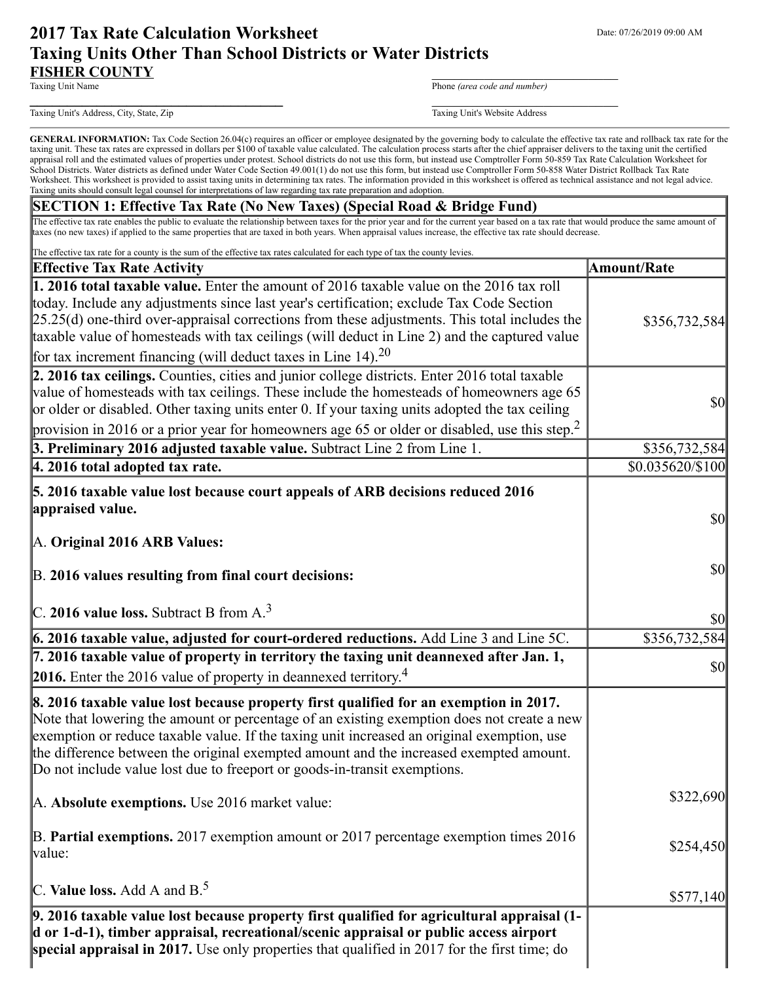# **2017 Tax Rate Calculation Worksheet** Department Date: 07/26/2019 09:00 AM **Taxing Units Other Than School Districts or Water Districts FISHER COUNTY**<br>Taxing Unit Name

Phone *(area code and number)* 

Taxing Unit's Address, City, State, Zip Taxing Unit's Website Address

GENERAL INFORMATION: Tax Code Section 26.04(c) requires an officer or employee designated by the governing body to calculate the effective tax rate and rollback tax rate for the taxing unit. These tax rates are expressed in dollars per \$100 of taxable value calculated. The calculation process starts after the chief appraiser delivers to the taxing unit the certified appraisal roll and the estimated values of properties under protest. School districts do not use this form, but instead use Comptroller Form 50-859 Tax Rate Calculation Worksheet for School Districts. Water districts as defined under Water Code Section 49.001(1) do not use this form, but instead use Comptroller Form 50-858 Water District Rollback Tax Rate Worksheet. This worksheet is provided to assist taxing units in determining tax rates. The information provided in this worksheet is offered as technical assistance and not legal advice. Taxing units should consult legal counsel for interpretations of law regarding tax rate preparation and adoption.

#### **SECTION 1: Effective Tax Rate (No New Taxes) (Special Road & Bridge Fund)**

**\_\_\_\_\_\_\_\_\_\_\_\_\_\_\_\_\_\_\_\_\_\_\_\_\_\_\_\_\_\_\_\_\_\_** \_\_\_\_\_\_\_\_\_\_\_\_\_\_\_\_\_\_\_\_\_\_\_\_\_

The effective tax rate enables the public to evaluate the relationship between taxes for the prior year and for the current year based on a tax rate that would produce the same amount of taxes (no new taxes) if applied to the same properties that are taxed in both years. When appraisal values increase, the effective tax rate should decrease.

**special appraisal in 2017.** Use only properties that qualified in 2017 for the first time; do The effective tax rate for a county is the sum of the effective tax rates calculated for each type of tax the county levies. **Effective Tax Rate Activity Amount/Rate 1. 2016 total taxable value.** Enter the amount of 2016 taxable value on the 2016 tax roll today. Include any adjustments since last year's certification; exclude Tax Code Section 25.25(d) one-third over-appraisal corrections from these adjustments. This total includes the taxable value of homesteads with tax ceilings (will deduct in Line 2) and the captured value for tax increment financing (will deduct taxes in Line 14).<sup>20</sup> \$356,732,584 **2. 2016 tax ceilings.** Counties, cities and junior college districts. Enter 2016 total taxable value of homesteads with tax ceilings. These include the homesteads of homeowners age 65 or older or disabled. Other taxing units enter 0. If your taxing units adopted the tax ceiling provision in 2016 or a prior year for homeowners age 65 or older or disabled, use this step.<sup>2</sup> \$0 **3. Preliminary 2016 adjusted taxable value.** Subtract Line 2 from Line 1. \$356,732,584 **4. 2016 total adopted tax rate.**  $$0.035620/\$100$ **5. 2016 taxable value lost because court appeals of ARB decisions reduced 2016 appraised value.** A. **Original 2016 ARB Values:** B. **2016 values resulting from final court decisions:** C. **2016 value loss.** Subtract B from A.<sup>3</sup> \$0 \$0 \$0 **6. 2016 taxable value, adjusted for court-ordered reductions.** Add Line 3 and Line 5C. **SACCES** 5356,732,584 **7. 2016 taxable value of property in territory the taxing unit deannexed after Jan. 1, 2016.** Enter the 2016 value of property in deannexed territory.  $\begin{bmatrix} 4 & 80 \\ 4 & 80 \end{bmatrix}$  \$0 **8. 2016 taxable value lost because property first qualified for an exemption in 2017.** Note that lowering the amount or percentage of an existing exemption does not create a new exemption or reduce taxable value. If the taxing unit increased an original exemption, use the difference between the original exempted amount and the increased exempted amount. Do not include value lost due to freeport or goods-in-transit exemptions. A. **Absolute exemptions.** Use 2016 market value: B. **Partial exemptions.** 2017 exemption amount or 2017 percentage exemption times 2016 value: C. **Value loss.** Add A and B.<sup>5</sup> \$322,690 \$254,450 \$577,140 **9. 2016 taxable value lost because property first qualified for agricultural appraisal (1 d or 1-d-1), timber appraisal, recreational/scenic appraisal or public access airport**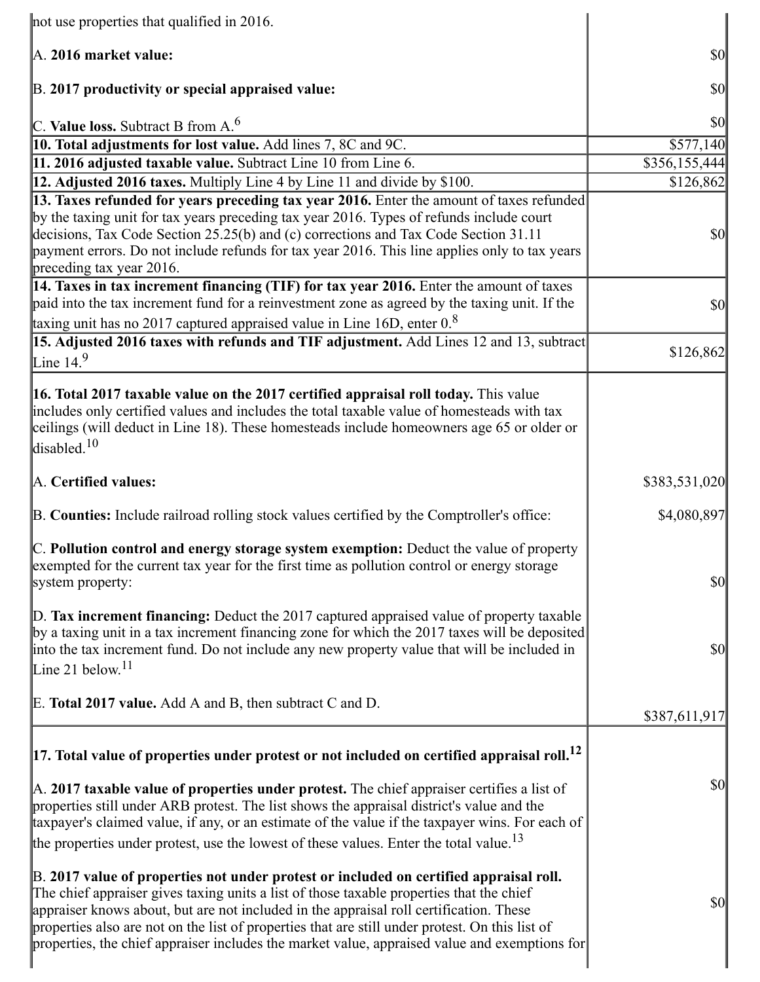| not use properties that qualified in 2016.                                                                                                                                                                                                                                                                                                                                                                                                                                       |               |
|----------------------------------------------------------------------------------------------------------------------------------------------------------------------------------------------------------------------------------------------------------------------------------------------------------------------------------------------------------------------------------------------------------------------------------------------------------------------------------|---------------|
| A. 2016 market value:                                                                                                                                                                                                                                                                                                                                                                                                                                                            | $\frac{1}{2}$ |
| B. 2017 productivity or special appraised value:                                                                                                                                                                                                                                                                                                                                                                                                                                 | \$0           |
| C. Value loss. Subtract B from $A6$                                                                                                                                                                                                                                                                                                                                                                                                                                              | \$0           |
| <b>10. Total adjustments for lost value.</b> Add lines 7, 8C and 9C.                                                                                                                                                                                                                                                                                                                                                                                                             | \$577,140     |
| 11. 2016 adjusted taxable value. Subtract Line 10 from Line 6.                                                                                                                                                                                                                                                                                                                                                                                                                   | \$356,155,444 |
| <b>12. Adjusted 2016 taxes.</b> Multiply Line 4 by Line 11 and divide by \$100.                                                                                                                                                                                                                                                                                                                                                                                                  | \$126,862     |
| 13. Taxes refunded for years preceding tax year 2016. Enter the amount of taxes refunded<br>by the taxing unit for tax years preceding tax year 2016. Types of refunds include court<br>decisions, Tax Code Section 25.25(b) and (c) corrections and Tax Code Section 31.11<br>payment errors. Do not include refunds for tax year 2016. This line applies only to tax years<br>preceding tax year 2016.                                                                         | $\frac{1}{2}$ |
| 14. Taxes in tax increment financing (TIF) for tax year 2016. Enter the amount of taxes<br>paid into the tax increment fund for a reinvestment zone as agreed by the taxing unit. If the                                                                                                                                                                                                                                                                                         | \$0           |
| taxing unit has no 2017 captured appraised value in Line 16D, enter $0.8$                                                                                                                                                                                                                                                                                                                                                                                                        |               |
| 15. Adjusted 2016 taxes with refunds and TIF adjustment. Add Lines 12 and 13, subtract<br>Line $14.9$                                                                                                                                                                                                                                                                                                                                                                            | \$126,862     |
| <b>16. Total 2017 taxable value on the 2017 certified appraisal roll today.</b> This value<br>includes only certified values and includes the total taxable value of homesteads with tax<br>ceilings (will deduct in Line 18). These homesteads include homeowners age 65 or older or<br>disabled. $10$                                                                                                                                                                          |               |
| A. Certified values:                                                                                                                                                                                                                                                                                                                                                                                                                                                             | \$383,531,020 |
| B. Counties: Include railroad rolling stock values certified by the Comptroller's office:                                                                                                                                                                                                                                                                                                                                                                                        | \$4,080,897   |
| C. Pollution control and energy storage system exemption: Deduct the value of property<br>exempted for the current tax year for the first time as pollution control or energy storage<br>system property:                                                                                                                                                                                                                                                                        | $\frac{1}{2}$ |
| $\mathbb{D}$ . Tax increment financing: Deduct the 2017 captured appraised value of property taxable<br>$\vert$ by a taxing unit in a tax increment financing zone for which the 2017 taxes will be deposited<br>into the tax increment fund. Do not include any new property value that will be included in<br>Line 21 below. $11$                                                                                                                                              | $ 10\rangle$  |
| E. Total 2017 value. Add A and B, then subtract C and D.                                                                                                                                                                                                                                                                                                                                                                                                                         | \$387,611,917 |
| $\vert$ 17. Total value of properties under protest or not included on certified appraisal roll. <sup>12</sup>                                                                                                                                                                                                                                                                                                                                                                   |               |
| $\mathbb A$ . 2017 taxable value of properties under protest. The chief appraiser certifies a list of<br>properties still under ARB protest. The list shows the appraisal district's value and the<br>taxpayer's claimed value, if any, or an estimate of the value if the taxpayer wins. For each of<br>the properties under protest, use the lowest of these values. Enter the total value. <sup>13</sup>                                                                      | $\frac{1}{2}$ |
| B. 2017 value of properties not under protest or included on certified appraisal roll.<br>The chief appraiser gives taxing units a list of those taxable properties that the chief<br>appraiser knows about, but are not included in the appraisal roll certification. These<br>properties also are not on the list of properties that are still under protest. On this list of<br>properties, the chief appraiser includes the market value, appraised value and exemptions for | \$0           |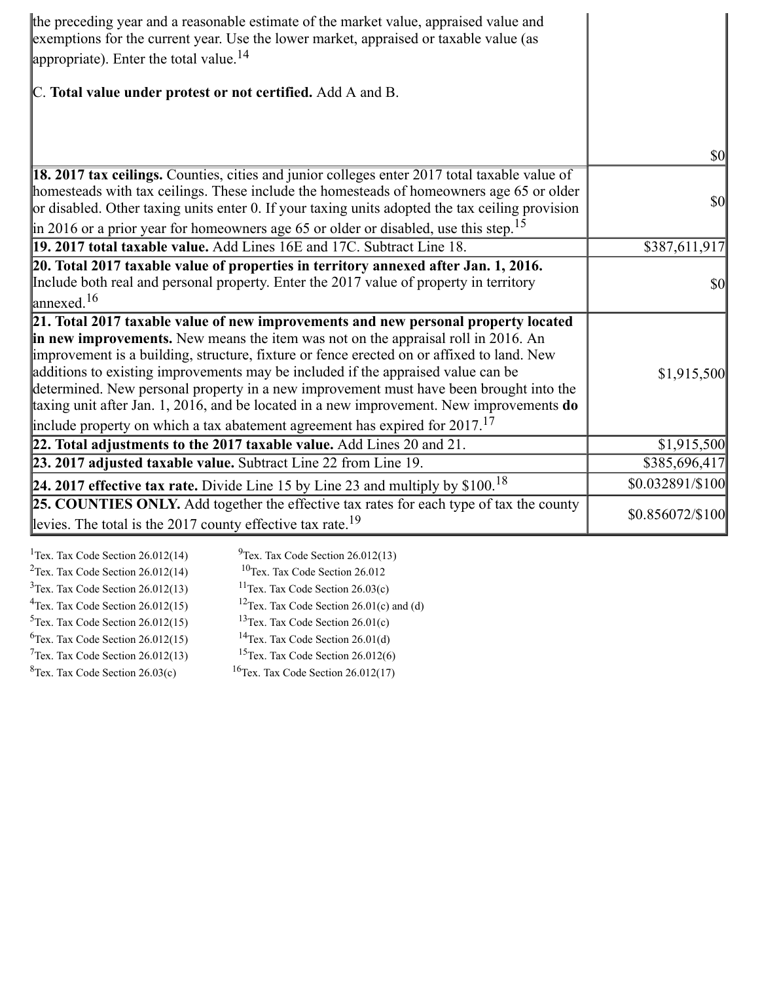| the preceding year and a reasonable estimate of the market value, appraised value and<br>exemptions for the current year. Use the lower market, appraised or taxable value (as<br>appropriate). Enter the total value. $^{14}$                                                                                                                                                                                                                                                                                                                                                                                                               |                                     |
|----------------------------------------------------------------------------------------------------------------------------------------------------------------------------------------------------------------------------------------------------------------------------------------------------------------------------------------------------------------------------------------------------------------------------------------------------------------------------------------------------------------------------------------------------------------------------------------------------------------------------------------------|-------------------------------------|
| C. Total value under protest or not certified. Add A and B.                                                                                                                                                                                                                                                                                                                                                                                                                                                                                                                                                                                  |                                     |
|                                                                                                                                                                                                                                                                                                                                                                                                                                                                                                                                                                                                                                              |                                     |
|                                                                                                                                                                                                                                                                                                                                                                                                                                                                                                                                                                                                                                              | $\vert \mathbf{S} \mathbf{0} \vert$ |
| 18. 2017 tax ceilings. Counties, cities and junior colleges enter 2017 total taxable value of<br>homesteads with tax ceilings. These include the homesteads of homeowners age 65 or older<br>or disabled. Other taxing units enter 0. If your taxing units adopted the tax ceiling provision<br>$\parallel$ in 2016 or a prior year for homeowners age 65 or older or disabled, use this step. <sup>15</sup>                                                                                                                                                                                                                                 | <b>\$0</b>                          |
| 19. 2017 total taxable value. Add Lines 16E and 17C. Subtract Line 18.                                                                                                                                                                                                                                                                                                                                                                                                                                                                                                                                                                       | \$387,611,917                       |
| 20. Total 2017 taxable value of properties in territory annexed after Jan. 1, 2016.<br>Include both real and personal property. Enter the 2017 value of property in territory<br>$\lvert$ annexed. <sup>16</sup>                                                                                                                                                                                                                                                                                                                                                                                                                             | <b>\$0</b>                          |
| 21. Total 2017 taxable value of new improvements and new personal property located<br>in new improvements. New means the item was not on the appraisal roll in 2016. An<br>improvement is a building, structure, fixture or fence erected on or affixed to land. New<br>additions to existing improvements may be included if the appraised value can be<br>determined. New personal property in a new improvement must have been brought into the<br>taxing unit after Jan. 1, 2016, and be located in a new improvement. New improvements do<br>include property on which a tax abatement agreement has expired for $2017$ . <sup>17</sup> | \$1,915,500                         |
| 22. Total adjustments to the 2017 taxable value. Add Lines $20$ and $21$ .                                                                                                                                                                                                                                                                                                                                                                                                                                                                                                                                                                   | \$1,915,500                         |
| 23. 2017 adjusted taxable value. Subtract Line 22 from Line 19.                                                                                                                                                                                                                                                                                                                                                                                                                                                                                                                                                                              | \$385,696,417                       |
| <b>24. 2017 effective tax rate.</b> Divide Line 15 by Line 23 and multiply by $$100.18$                                                                                                                                                                                                                                                                                                                                                                                                                                                                                                                                                      | \$0.032891/\$100                    |
| <b>25. COUNTIES ONLY.</b> Add together the effective tax rates for each type of tax the county<br>levies. The total is the 2017 county effective tax rate. <sup>19</sup>                                                                                                                                                                                                                                                                                                                                                                                                                                                                     | \$0.856072/\$100                    |

| <sup>1</sup> Tex. Tax Code Section $26.012(14)$ | $^{9}$ Tex. Tax Code Section 26.012(13)              |
|-------------------------------------------------|------------------------------------------------------|
| <sup>2</sup> Tex. Tax Code Section $26.012(14)$ | $10$ Tex. Tax Code Section 26.012                    |
| $3$ Tex. Tax Code Section 26.012(13)            | <sup>11</sup> Tex. Tax Code Section $26.03(c)$       |
| $4$ Tex. Tax Code Section 26.012(15)            | <sup>12</sup> Tex. Tax Code Section 26.01(c) and (d) |
| $5$ Tex. Tax Code Section 26.012(15)            | <sup>13</sup> Tex. Tax Code Section $26.01(c)$       |
| ${}^{6}$ Tex. Tax Code Section 26.012(15)       | <sup>14</sup> Tex. Tax Code Section $26.01(d)$       |
| $7$ Tex. Tax Code Section 26.012(13)            | <sup>15</sup> Tex. Tax Code Section $26.012(6)$      |
| ${}^{8}$ Tex. Tax Code Section 26.03(c)         | <sup>16</sup> Tex. Tax Code Section $26.012(17)$     |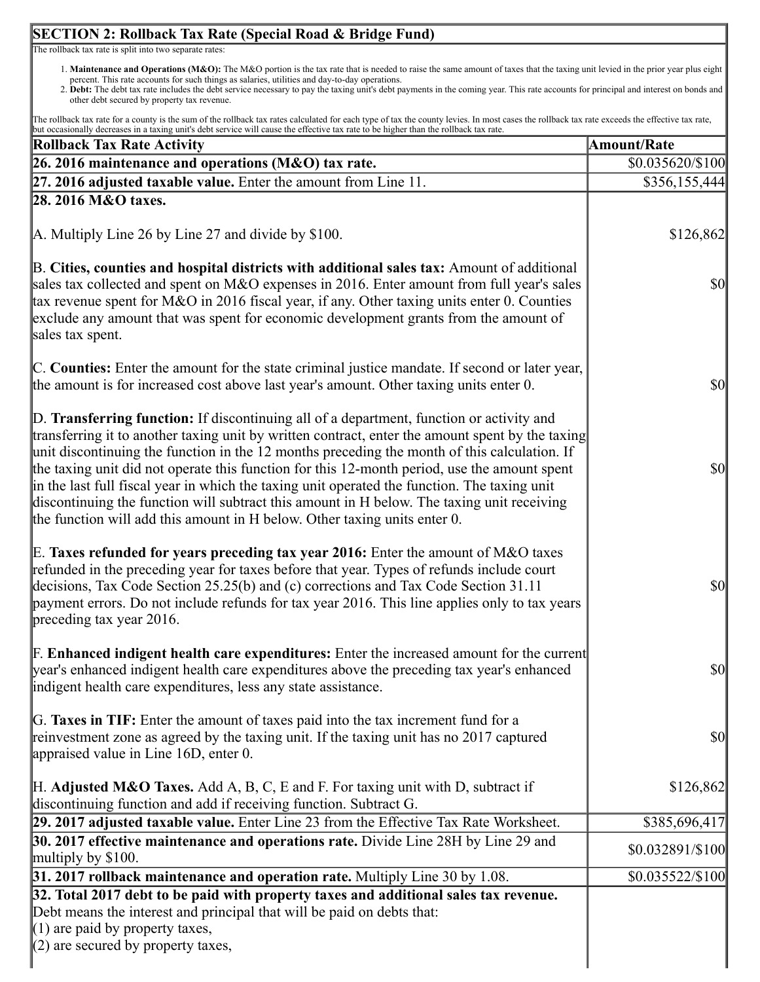# **SECTION 2: Rollback Tax Rate (Special Road & Bridge Fund)**

The rollback tax rate is split into two separate rates:

- 1. **Maintenance and Operations (M&O):** The M&O portion is the tax rate that is needed to raise the same amount of taxes that the taxing unit levied in the prior year plus eight percent. This rate accounts for such things as salaries, utilities and day-to-day operations.
- 2. **Debt:** The debt tax rate includes the debt service necessary to pay the taxing unit's debt payments in the coming year. This rate accounts for principal and interest on bonds and other debt secured by property tax revenue.

The rollback tax rate for a county is the sum of the rollback tax rates calculated for each type of tax the county levies. In most cases the rollback tax rate exceeds the effective tax rate, but occasionally decreases in a taxing unit's debt service will cause the effective tax rate to be higher than the rollback tax rate.

| istonary decreases in a taxing unit's dect service win cause the cricerive tax rate to be inglier than the romadk tax rate<br><b>Rollback Tax Rate Activity</b>                                                                                                                                                                                                                                                                                                                                                                                                                                                                                                         | <b>Amount/Rate</b>                  |
|-------------------------------------------------------------------------------------------------------------------------------------------------------------------------------------------------------------------------------------------------------------------------------------------------------------------------------------------------------------------------------------------------------------------------------------------------------------------------------------------------------------------------------------------------------------------------------------------------------------------------------------------------------------------------|-------------------------------------|
| 26. 2016 maintenance and operations (M&O) tax rate.                                                                                                                                                                                                                                                                                                                                                                                                                                                                                                                                                                                                                     | \$0.035620/\$100                    |
| $27.2016$ adjusted taxable value. Enter the amount from Line 11.                                                                                                                                                                                                                                                                                                                                                                                                                                                                                                                                                                                                        | \$356,155,444                       |
| 28. 2016 M&O taxes.                                                                                                                                                                                                                                                                                                                                                                                                                                                                                                                                                                                                                                                     |                                     |
| $\vert$ A. Multiply Line 26 by Line 27 and divide by \$100.                                                                                                                                                                                                                                                                                                                                                                                                                                                                                                                                                                                                             | \$126,862                           |
| B. Cities, counties and hospital districts with additional sales tax: Amount of additional<br>sales tax collected and spent on M&O expenses in 2016. Enter amount from full year's sales<br>tax revenue spent for M&O in 2016 fiscal year, if any. Other taxing units enter 0. Counties<br>exclude any amount that was spent for economic development grants from the amount of<br>sales tax spent.                                                                                                                                                                                                                                                                     | <b>\$0</b>                          |
| C. Counties: Enter the amount for the state criminal justice mandate. If second or later year,<br>the amount is for increased cost above last year's amount. Other taxing units enter 0.                                                                                                                                                                                                                                                                                                                                                                                                                                                                                | $\vert \$\text{0}\vert$             |
| D. Transferring function: If discontinuing all of a department, function or activity and<br>transferring it to another taxing unit by written contract, enter the amount spent by the taxing<br>unit discontinuing the function in the 12 months preceding the month of this calculation. If<br>the taxing unit did not operate this function for this 12-month period, use the amount spent<br>in the last full fiscal year in which the taxing unit operated the function. The taxing unit<br>discontinuing the function will subtract this amount in H below. The taxing unit receiving<br>the function will add this amount in H below. Other taxing units enter 0. | $\frac{1}{2}$                       |
| E. Taxes refunded for years preceding tax year 2016: Enter the amount of M&O taxes<br>refunded in the preceding year for taxes before that year. Types of refunds include court<br>decisions, Tax Code Section 25.25(b) and (c) corrections and Tax Code Section 31.11<br>payment errors. Do not include refunds for tax year 2016. This line applies only to tax years<br>preceding tax year 2016.                                                                                                                                                                                                                                                                     | $ 10\rangle$                        |
| <b>F. Enhanced indigent health care expenditures:</b> Enter the increased amount for the current<br>year's enhanced indigent health care expenditures above the preceding tax year's enhanced<br>indigent health care expenditures, less any state assistance.                                                                                                                                                                                                                                                                                                                                                                                                          | $\vert \mathbf{S} \mathbf{0} \vert$ |
| G. Taxes in TIF: Enter the amount of taxes paid into the tax increment fund for a<br>reinvestment zone as agreed by the taxing unit. If the taxing unit has no 2017 captured<br>appraised value in Line 16D, enter 0.                                                                                                                                                                                                                                                                                                                                                                                                                                                   | \$0                                 |
| $[H.$ Adjusted M&O Taxes. Add A, B, C, E and F. For taxing unit with D, subtract if<br>discontinuing function and add if receiving function. Subtract G.                                                                                                                                                                                                                                                                                                                                                                                                                                                                                                                | \$126,862                           |
| 29. 2017 adjusted taxable value. Enter Line 23 from the Effective Tax Rate Worksheet.                                                                                                                                                                                                                                                                                                                                                                                                                                                                                                                                                                                   | \$385,696,417                       |
| 30. 2017 effective maintenance and operations rate. Divide Line 28H by Line 29 and<br>multiply by $$100$ .                                                                                                                                                                                                                                                                                                                                                                                                                                                                                                                                                              | \$0.032891/\$100                    |
| 31. 2017 rollback maintenance and operation rate. Multiply Line 30 by 1.08.                                                                                                                                                                                                                                                                                                                                                                                                                                                                                                                                                                                             | $$0.035522 \times 100$              |
| 32. Total 2017 debt to be paid with property taxes and additional sales tax revenue.<br>Debt means the interest and principal that will be paid on debts that:<br>$(1)$ are paid by property taxes,<br>$(2)$ are secured by property taxes,                                                                                                                                                                                                                                                                                                                                                                                                                             |                                     |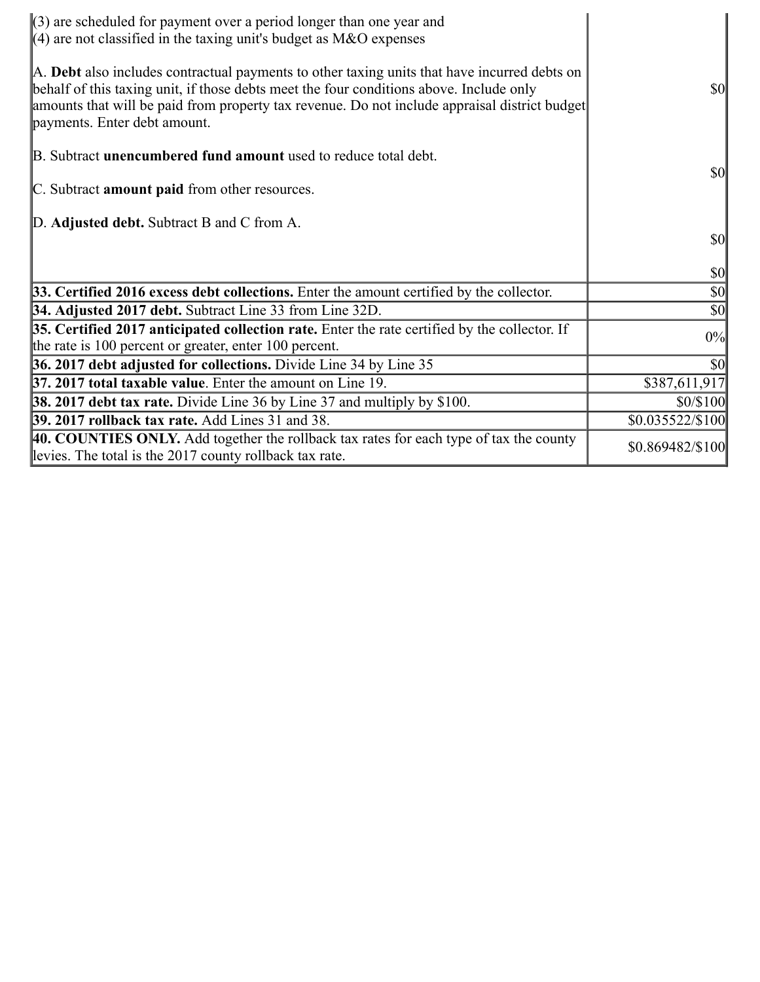| $\langle 3 \rangle$ are scheduled for payment over a period longer than one year and<br>$(4)$ are not classified in the taxing unit's budget as M&O expenses                                                                                                                                                             |                                     |
|--------------------------------------------------------------------------------------------------------------------------------------------------------------------------------------------------------------------------------------------------------------------------------------------------------------------------|-------------------------------------|
| A. Debt also includes contractual payments to other taxing units that have incurred debts on<br>behalf of this taxing unit, if those debts meet the four conditions above. Include only<br>amounts that will be paid from property tax revenue. Do not include appraisal district budget<br>payments. Enter debt amount. | $\vert \mathbf{S} \mathbf{O} \vert$ |
| B. Subtract <b>unencumbered fund amount</b> used to reduce total debt.                                                                                                                                                                                                                                                   | <b>\$0</b>                          |
| C. Subtract amount paid from other resources.                                                                                                                                                                                                                                                                            |                                     |
| D. Adjusted debt. Subtract B and C from A.                                                                                                                                                                                                                                                                               | <b>\$0</b>                          |
|                                                                                                                                                                                                                                                                                                                          | $\vert \mathbf{S} \mathbf{0} \vert$ |
| 33. Certified 2016 excess debt collections. Enter the amount certified by the collector.                                                                                                                                                                                                                                 | $\vert \mathbf{S} \mathbf{0} \vert$ |
| 34. Adjusted 2017 debt. Subtract Line 33 from Line 32D.                                                                                                                                                                                                                                                                  | $\vert \mathbf{S} \mathbf{0} \vert$ |
| 35. Certified 2017 anticipated collection rate. Enter the rate certified by the collector. If<br>the rate is 100 percent or greater, enter 100 percent.                                                                                                                                                                  | 0%                                  |
| 36. 2017 debt adjusted for collections. Divide Line 34 by Line 35                                                                                                                                                                                                                                                        | $\vert \$\text{0}\vert$             |
| <b>37. 2017 total taxable value.</b> Enter the amount on Line 19.                                                                                                                                                                                                                                                        | \$387,611,917                       |
| <b>38. 2017 debt tax rate.</b> Divide Line 36 by Line 37 and multiply by \$100.                                                                                                                                                                                                                                          | \$0/\$100                           |
| <b>39. 2017 rollback tax rate.</b> Add Lines 31 and 38.                                                                                                                                                                                                                                                                  | \$0.035522/\$100                    |
| 40. COUNTIES ONLY. Add together the rollback tax rates for each type of tax the county<br>levies. The total is the 2017 county rollback tax rate.                                                                                                                                                                        | \$0.869482/\$100                    |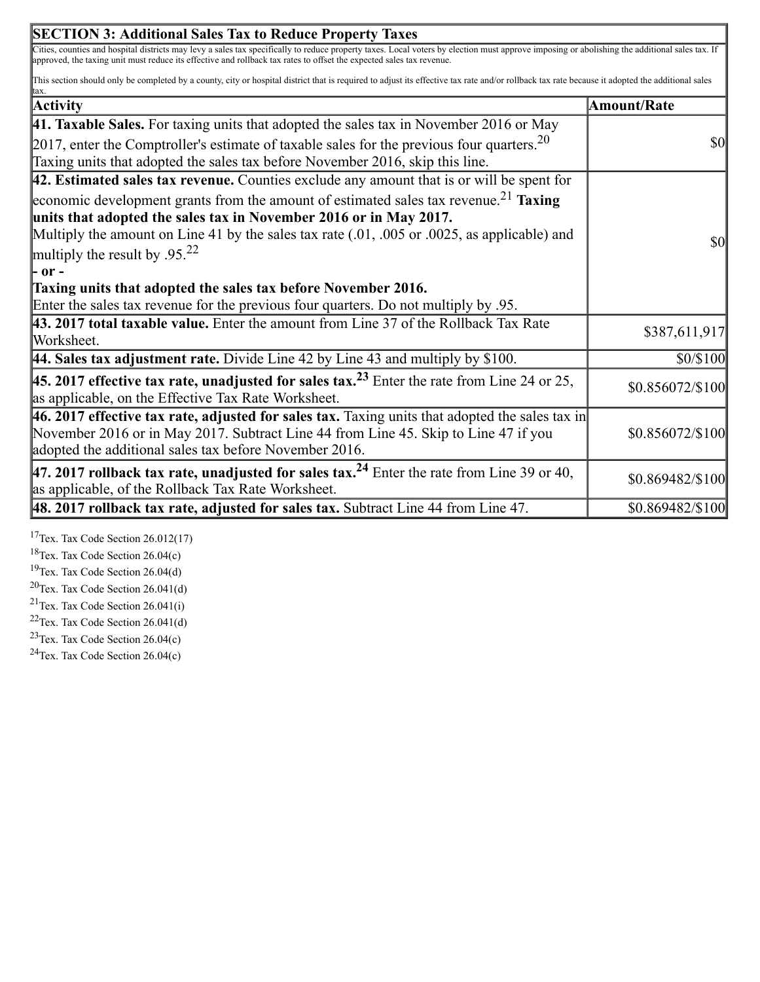| <b>SECTION 3: Additional Sales Tax to Reduce Property Taxes</b>                                                                                                                                                                                                                                                                            |                  |
|--------------------------------------------------------------------------------------------------------------------------------------------------------------------------------------------------------------------------------------------------------------------------------------------------------------------------------------------|------------------|
| Cities, counties and hospital districts may levy a sales tax specifically to reduce property taxes. Local voters by election must approve imposing or abolishing the additional sales tax. If<br>approved, the taxing unit must reduce its effective and rollback tax rates to offset the expected sales tax revenue.                      |                  |
| This section should only be completed by a county, city or hospital district that is required to adjust its effective tax rate and/or rollback tax rate because it adopted the additional sales<br>ltax.                                                                                                                                   |                  |
| <b>Activity</b>                                                                                                                                                                                                                                                                                                                            | Amount/Rate      |
| <b>41. Taxable Sales.</b> For taxing units that adopted the sales tax in November 2016 or May                                                                                                                                                                                                                                              |                  |
| [2017, enter the Comptroller's estimate of taxable sales for the previous four quarters. <sup>20</sup><br>Taxing units that adopted the sales tax before November 2016, skip this line.                                                                                                                                                    | <b>\$0</b>       |
| $ 42$ . Estimated sales tax revenue. Counties exclude any amount that is or will be spent for                                                                                                                                                                                                                                              |                  |
| economic development grants from the amount of estimated sales tax revenue. <sup>21</sup> Taxing<br>units that adopted the sales tax in November 2016 or in May 2017.<br>Multiply the amount on Line 41 by the sales tax rate $(.01, .005)$ or $.0025$ , as applicable) and<br>multiply the result by .95. <sup>22</sup><br>$-$ - $\sigma$ | <b>\$0</b>       |
| Taxing units that adopted the sales tax before November 2016.                                                                                                                                                                                                                                                                              |                  |
| Enter the sales tax revenue for the previous four quarters. Do not multiply by .95.                                                                                                                                                                                                                                                        |                  |
| 43. 2017 total taxable value. Enter the amount from Line 37 of the Rollback Tax Rate<br>Worksheet.                                                                                                                                                                                                                                         | \$387,611,917    |
| 44. Sales tax adjustment rate. Divide Line 42 by Line 43 and multiply by \$100.                                                                                                                                                                                                                                                            | \$0/\$100        |
| <b>45. 2017 effective tax rate, unadjusted for sales tax.</b> <sup>23</sup> Enter the rate from Line 24 or 25,<br>as applicable, on the Effective Tax Rate Worksheet.                                                                                                                                                                      | \$0.856072/\$100 |
| 46. 2017 effective tax rate, adjusted for sales tax. Taxing units that adopted the sales tax in<br>November 2016 or in May 2017. Subtract Line 44 from Line 45. Skip to Line 47 if you<br>adopted the additional sales tax before November 2016.                                                                                           | \$0.856072/\$100 |
| 47. 2017 rollback tax rate, unadjusted for sales tax. <sup>24</sup> Enter the rate from Line 39 or 40,<br>as applicable, of the Rollback Tax Rate Worksheet.                                                                                                                                                                               | \$0.869482/\$100 |
| $\vert$ 48. 2017 rollback tax rate, adjusted for sales tax. Subtract Line 44 from Line 47.                                                                                                                                                                                                                                                 | \$0.869482/\$100 |

<sup>17</sup>Tex. Tax Code Section  $26.012(17)$ 

 $18$ Tex. Tax Code Section 26.04(c)

<sup>19</sup>Tex. Tax Code Section  $26.04(d)$ 

 $20$ Tex. Tax Code Section 26.041(d)

<sup>21</sup>Tex. Tax Code Section  $26.041(i)$ 

- <sup>22</sup>Tex. Tax Code Section  $26.041(d)$
- <sup>23</sup>Tex. Tax Code Section  $26.04(c)$

<sup>24</sup>Tex. Tax Code Section  $26.04(c)$